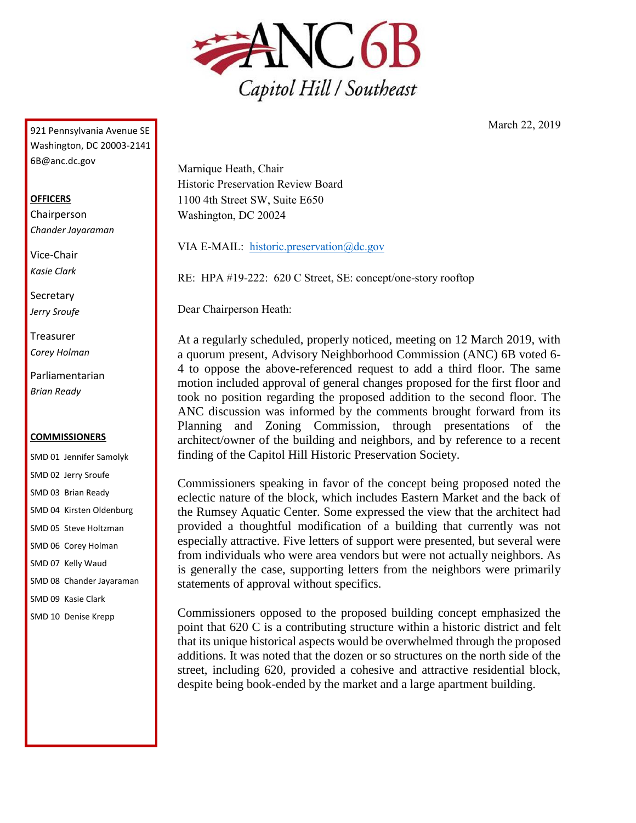

921 Pennsylvania Avenue SE Washington, DC 20003-2141 6B@anc.dc.gov

## **OFFICERS**

Chairperson *Chander Jayaraman*

Vice-Chair *Kasie Clark*

**Secretary** *Jerry Sroufe*

Treasurer *Corey Holman*

Parliamentarian *Brian Ready*

## **COMMISSIONERS**

SMD 01 Jennifer Samolyk SMD 02 Jerry Sroufe SMD 03 Brian Ready SMD 04 Kirsten Oldenburg SMD 05 Steve Holtzman SMD 06 Corey Holman SMD 07 Kelly Waud SMD 08 Chander Jayaraman SMD 09 Kasie Clark SMD 10 Denise Krepp

Marnique Heath, Chair Historic Preservation Review Board 1100 4th Street SW, Suite E650 Washington, DC 20024

VIA E-MAIL: [historic.preservation@dc.gov](mailto:historic.preservation@dc.gov)

RE: HPA #19-222: 620 C Street, SE: concept/one-story rooftop

Dear Chairperson Heath:

At a regularly scheduled, properly noticed, meeting on 12 March 2019, with a quorum present, Advisory Neighborhood Commission (ANC) 6B voted 6- 4 to oppose the above-referenced request to add a third floor. The same motion included approval of general changes proposed for the first floor and took no position regarding the proposed addition to the second floor. The ANC discussion was informed by the comments brought forward from its Planning and Zoning Commission, through presentations of the architect/owner of the building and neighbors, and by reference to a recent finding of the Capitol Hill Historic Preservation Society.

Commissioners speaking in favor of the concept being proposed noted the eclectic nature of the block, which includes Eastern Market and the back of the Rumsey Aquatic Center. Some expressed the view that the architect had provided a thoughtful modification of a building that currently was not especially attractive. Five letters of support were presented, but several were from individuals who were area vendors but were not actually neighbors. As is generally the case, supporting letters from the neighbors were primarily statements of approval without specifics.

Commissioners opposed to the proposed building concept emphasized the point that 620 C is a contributing structure within a historic district and felt that its unique historical aspects would be overwhelmed through the proposed additions. It was noted that the dozen or so structures on the north side of the street, including 620, provided a cohesive and attractive residential block, despite being book-ended by the market and a large apartment building.

March 22, 2019